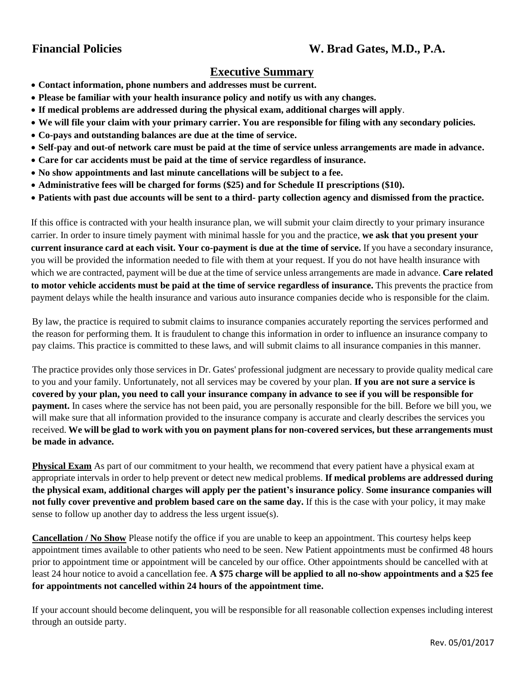## **Financial Policies W. Brad Gates, M.D., P.A.**

## **Executive Summary**

- **Contact information, phone numbers and addresses must be current.**
- **Please be familiar with your health insurance policy and notify us with any changes.**
- **If medical problems are addressed during the physical exam, additional charges will apply**.
- **We will file your claim with your primary carrier. You are responsible for filing with any secondary policies.**
- **Co-pays and outstanding balances are due at the time of service.**
- **Self-pay and out-of network care must be paid at the time of service unless arrangements are made in advance.**
- **Care for car accidents must be paid at the time of service regardless of insurance.**
- **No show appointments and last minute cancellations will be subject to a fee.**
- **Administrative fees will be charged for forms (\$25) and for Schedule II prescriptions (\$10).**
- **Patients with past due accounts will be sent to a third- party collection agency and dismissed from the practice.**

If this office is contracted with your health insurance plan, we will submit your claim directly to your primary insurance carrier. In order to insure timely payment with minimal hassle for you and the practice, **we ask that you present your current insurance card at each visit. Your co-payment is due at the time of service.** If you have a secondary insurance, you will be provided the information needed to file with them at your request. If you do not have health insurance with which we are contracted, payment will be due at the time of service unless arrangements are made in advance. **Care related to motor vehicle accidents must be paid at the time of service regardless of insurance.** This prevents the practice from payment delays while the health insurance and various auto insurance companies decide who is responsible for the claim.

By law, the practice is required to submit claims to insurance companies accurately reporting the services performed and the reason for performing them. It is fraudulent to change this information in order to influence an insurance company to pay claims. This practice is committed to these laws, and will submit claims to all insurance companies in this manner.

The practice provides only those services in Dr. Gates' professional judgment are necessary to provide quality medical care to you and your family. Unfortunately, not all services may be covered by your plan. **If you are not sure a service is covered by your plan, you need to call your insurance company in advance to see if you will be responsible for payment.** In cases where the service has not been paid, you are personally responsible for the bill. Before we bill you, we will make sure that all information provided to the insurance company is accurate and clearly describes the services you received. **We will be glad to work with you on payment plans for non-covered services, but these arrangements must be made in advance.**

**Physical Exam** As part of our commitment to your health, we recommend that every patient have a physical exam at appropriate intervals in order to help prevent or detect new medical problems. **If medical problems are addressed during the physical exam, additional charges will apply per the patient's insurance policy**. **Some insurance companies will not fully cover preventive and problem based care on the same day.** If this is the case with your policy, it may make sense to follow up another day to address the less urgent issue(s).

**Cancellation / No Show** Please notify the office if you are unable to keep an appointment. This courtesy helps keep appointment times available to other patients who need to be seen. New Patient appointments must be confirmed 48 hours prior to appointment time or appointment will be canceled by our office. Other appointments should be cancelled with at least 24 hour notice to avoid a cancellation fee. **A \$75 charge will be applied to all no-show appointments and a \$25 fee for appointments not cancelled within 24 hours of the appointment time.** 

If your account should become delinquent, you will be responsible for all reasonable collection expenses including interest through an outside party.